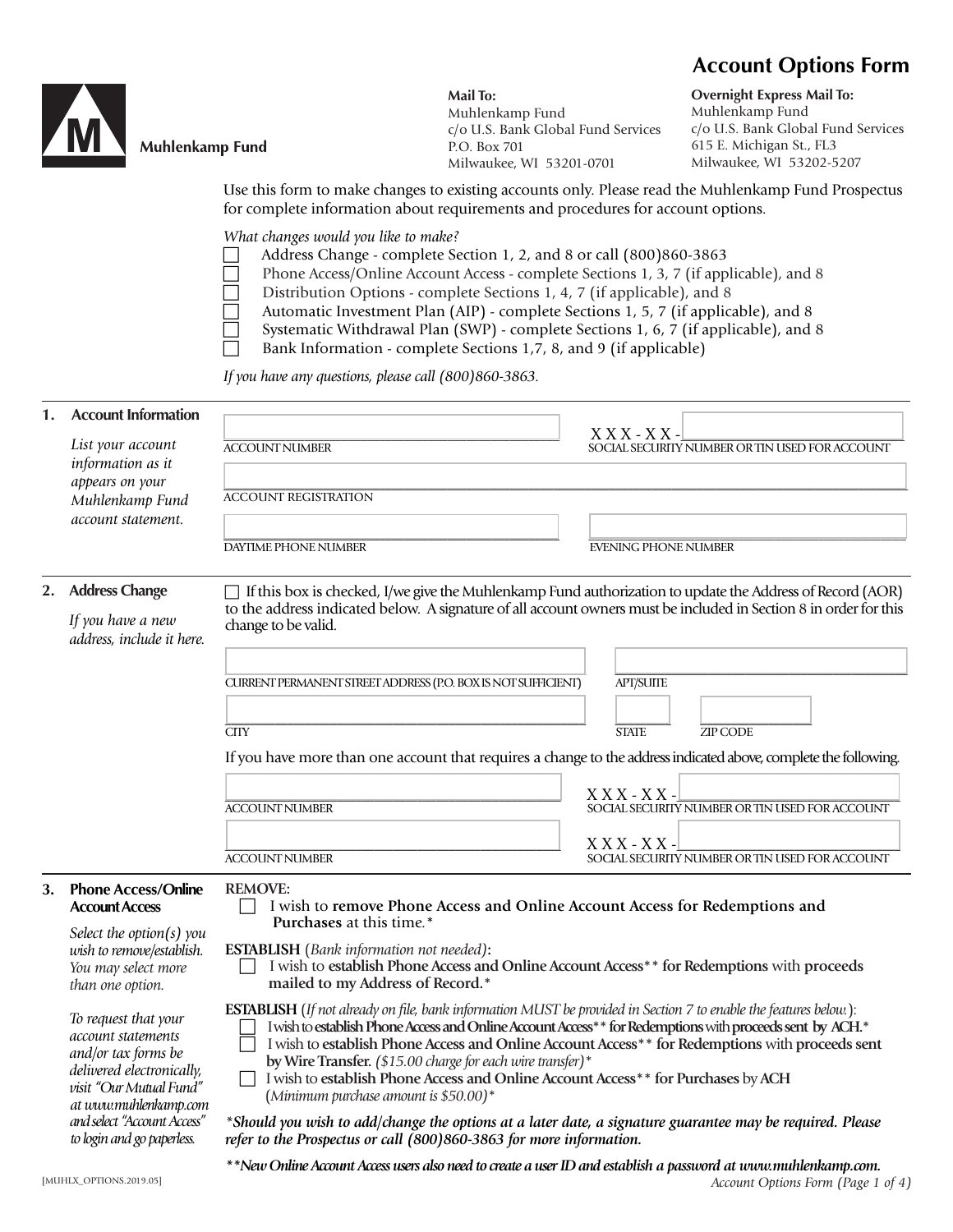## **Account Options Form**



Muhlenkamp Fund

**Mail To:** Muhlenkamp Fund c/o U.S. Bank Global Fund Services P.O. Box 701 Milwaukee, WI 53201-0701

**Overnight Express Mail To:** Muhlenkamp Fund c/o U.S. Bank Global Fund Services 615 E. Michigan St., FL3 Milwaukee, WI 53202-5207

Use this form to make changes to existing accounts only. Please read the Muhlenkamp Fund Prospectus for complete information about requirements and procedures for account options.

*What changes would you like to make?* 

- Address Change complete Section 1, 2, and 8 or call (800)860-3863
- Phone Access/Online Account Access complete Sections 1, 3, 7 (if applicable), and 8
- Distribution Options complete Sections 1, 4, 7 (if applicable), and 8
	- Automatic Investment Plan (AIP) complete Sections 1, 5, 7 (if applicable), and 8
- Systematic Withdrawal Plan (SWP) complete Sections 1, 6, 7 (if applicable), and 8
	- Bank Information complete Sections 1,7, 8, and 9 (if applicable)

*If you have any questions, please call (800)860-3863.*

| <b>Account Information</b>                                                                                                                                                                                      |                                                                                                                                                                                                                                                                                                                                                                                                                                                                                                                        |                                                                                                                                                                                                                         |  |
|-----------------------------------------------------------------------------------------------------------------------------------------------------------------------------------------------------------------|------------------------------------------------------------------------------------------------------------------------------------------------------------------------------------------------------------------------------------------------------------------------------------------------------------------------------------------------------------------------------------------------------------------------------------------------------------------------------------------------------------------------|-------------------------------------------------------------------------------------------------------------------------------------------------------------------------------------------------------------------------|--|
|                                                                                                                                                                                                                 |                                                                                                                                                                                                                                                                                                                                                                                                                                                                                                                        | $X$ $X$ $X$ - $X$ $X$ -                                                                                                                                                                                                 |  |
|                                                                                                                                                                                                                 |                                                                                                                                                                                                                                                                                                                                                                                                                                                                                                                        | SOCIAL SECURITY NUMBER OR TIN USED FOR ACCOUNT                                                                                                                                                                          |  |
| appears on your                                                                                                                                                                                                 |                                                                                                                                                                                                                                                                                                                                                                                                                                                                                                                        |                                                                                                                                                                                                                         |  |
|                                                                                                                                                                                                                 |                                                                                                                                                                                                                                                                                                                                                                                                                                                                                                                        |                                                                                                                                                                                                                         |  |
|                                                                                                                                                                                                                 |                                                                                                                                                                                                                                                                                                                                                                                                                                                                                                                        |                                                                                                                                                                                                                         |  |
|                                                                                                                                                                                                                 |                                                                                                                                                                                                                                                                                                                                                                                                                                                                                                                        | <b>EVENING PHONE NUMBER</b>                                                                                                                                                                                             |  |
| <b>Address Change</b>                                                                                                                                                                                           | $\Box$ If this box is checked, I/we give the Muhlenkamp Fund authorization to update the Address of Record (AOR)                                                                                                                                                                                                                                                                                                                                                                                                       |                                                                                                                                                                                                                         |  |
| If you have a new<br>address, include it here.                                                                                                                                                                  | to the address indicated below. A signature of all account owners must be included in Section 8 in order for this<br>change to be valid.                                                                                                                                                                                                                                                                                                                                                                               |                                                                                                                                                                                                                         |  |
|                                                                                                                                                                                                                 |                                                                                                                                                                                                                                                                                                                                                                                                                                                                                                                        |                                                                                                                                                                                                                         |  |
|                                                                                                                                                                                                                 |                                                                                                                                                                                                                                                                                                                                                                                                                                                                                                                        | <b>APT/SUITE</b>                                                                                                                                                                                                        |  |
|                                                                                                                                                                                                                 |                                                                                                                                                                                                                                                                                                                                                                                                                                                                                                                        |                                                                                                                                                                                                                         |  |
|                                                                                                                                                                                                                 | <b>CITY</b>                                                                                                                                                                                                                                                                                                                                                                                                                                                                                                            | <b>STATE</b><br><b>ZIP CODE</b>                                                                                                                                                                                         |  |
|                                                                                                                                                                                                                 | If you have more than one account that requires a change to the address indicated above, complete the following.                                                                                                                                                                                                                                                                                                                                                                                                       |                                                                                                                                                                                                                         |  |
|                                                                                                                                                                                                                 |                                                                                                                                                                                                                                                                                                                                                                                                                                                                                                                        | $X$ X X - X X -                                                                                                                                                                                                         |  |
|                                                                                                                                                                                                                 | <b>ACCOUNT NUMBER</b>                                                                                                                                                                                                                                                                                                                                                                                                                                                                                                  | SOCIAL SECURITY NUMBER OR TIN USED FOR ACCOUNT                                                                                                                                                                          |  |
|                                                                                                                                                                                                                 |                                                                                                                                                                                                                                                                                                                                                                                                                                                                                                                        | $X$ X X - X X -                                                                                                                                                                                                         |  |
|                                                                                                                                                                                                                 | <b>ACCOUNT NUMBER</b>                                                                                                                                                                                                                                                                                                                                                                                                                                                                                                  | SOCIAL SECURITY NUMBER OR TIN USED FOR ACCOUNT                                                                                                                                                                          |  |
| <b>Phone Access/Online</b><br><b>Account Access</b>                                                                                                                                                             | <b>REMOVE:</b><br>I wish to remove Phone Access and Online Account Access for Redemptions and<br>Purchases at this time.*                                                                                                                                                                                                                                                                                                                                                                                              |                                                                                                                                                                                                                         |  |
| wish to remove/establish.<br>You may select more<br>than one option.                                                                                                                                            | <b>ESTABLISH</b> (Bank information not needed):<br>I wish to establish Phone Access and Online Account Access** for Redemptions with proceeds<br>mailed to my Address of Record.*                                                                                                                                                                                                                                                                                                                                      |                                                                                                                                                                                                                         |  |
| To request that your<br>account statements<br>and/or tax forms be<br>delivered electronically,<br>visit "Our Mutual Fund"<br>at www.muhlenkamp.com<br>and select "Account Access"<br>to login and go paperless. | <b>ESTABLISH</b> (If not already on file, bank information MUST be provided in Section 7 to enable the features below.):<br>by Wire Transfer. (\$15.00 charge for each wire transfer)*<br>I wish to establish Phone Access and Online Account Access <sup>**</sup> for Purchases by ACH<br>(Minimum purchase amount is $$50.00$ )*<br>*Should you wish to add/change the options at a later date, a signature guarantee may be required. Please<br>refer to the Prospectus or call (800)860-3863 for more information. | I wish to establish Phone Access and Online Account Access** for Redemptions with proceeds sent by ACH.*<br>I wish to establish Phone Access and Online Account Access <sup>**</sup> for Redemptions with proceeds sent |  |
|                                                                                                                                                                                                                 | List your account<br>information as it<br>Muhlenkamp Fund<br>account statement.<br>Select the option(s) you                                                                                                                                                                                                                                                                                                                                                                                                            | <b>ACCOUNT NUMBER</b><br><b>ACCOUNT REGISTRATION</b><br>DAYTIME PHONE NUMBER<br>CURRENT PERMANENT STREET ADDRESS (P.O. BOX IS NOT SUFFICIENT)                                                                           |  |

*\*\*New Online Account Access users also need to create a user ID and establish a password at www.muhlenkamp.com.*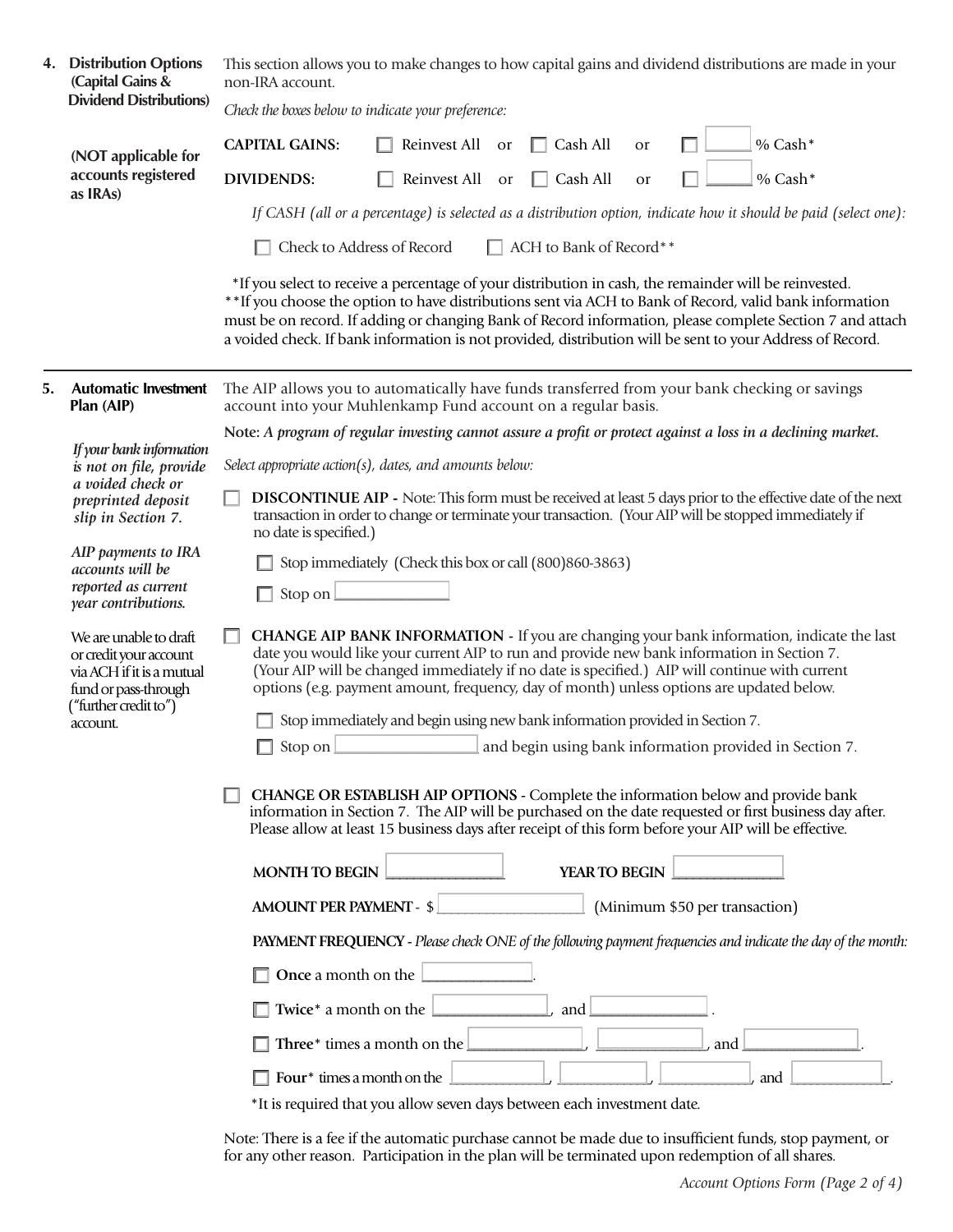|    | 4. Distribution Options<br>(Capital Gains &<br><b>Dividend Distributions)</b>                                                              | This section allows you to make changes to how capital gains and dividend distributions are made in your<br>non-IRA account.                                                                                                                                                                                                                                                                                                                                                                                                                                          |  |
|----|--------------------------------------------------------------------------------------------------------------------------------------------|-----------------------------------------------------------------------------------------------------------------------------------------------------------------------------------------------------------------------------------------------------------------------------------------------------------------------------------------------------------------------------------------------------------------------------------------------------------------------------------------------------------------------------------------------------------------------|--|
|    |                                                                                                                                            | Check the boxes below to indicate your preference:                                                                                                                                                                                                                                                                                                                                                                                                                                                                                                                    |  |
|    | (NOT applicable for<br>accounts registered<br>as IRAs)                                                                                     | $%$ Cash*<br><b>CAPITAL GAINS:</b><br>Reinvest All<br>Cash All<br>or<br><b>or</b>                                                                                                                                                                                                                                                                                                                                                                                                                                                                                     |  |
|    |                                                                                                                                            | % Cash*<br><b>DIVIDENDS:</b><br>Reinvest All<br>$\Box$ Cash All<br><b>or</b><br>or                                                                                                                                                                                                                                                                                                                                                                                                                                                                                    |  |
|    |                                                                                                                                            | If CASH (all or a percentage) is selected as a distribution option, indicate how it should be paid (select one):                                                                                                                                                                                                                                                                                                                                                                                                                                                      |  |
|    |                                                                                                                                            | $\Box$ ACH to Bank of Record**<br>Check to Address of Record                                                                                                                                                                                                                                                                                                                                                                                                                                                                                                          |  |
|    |                                                                                                                                            | *If you select to receive a percentage of your distribution in cash, the remainder will be reinvested.<br>**If you choose the option to have distributions sent via ACH to Bank of Record, valid bank information<br>must be on record. If adding or changing Bank of Record information, please complete Section 7 and attach<br>a voided check. If bank information is not provided, distribution will be sent to your Address of Record.                                                                                                                           |  |
| 5. | <b>Automatic Investment</b><br>Plan (AIP)                                                                                                  | The AIP allows you to automatically have funds transferred from your bank checking or savings<br>account into your Muhlenkamp Fund account on a regular basis.                                                                                                                                                                                                                                                                                                                                                                                                        |  |
|    | If your bank information                                                                                                                   | Note: A program of regular investing cannot assure a profit or protect against a loss in a declining market.                                                                                                                                                                                                                                                                                                                                                                                                                                                          |  |
|    | is not on file, provide<br>a voided check or                                                                                               | Select appropriate action(s), dates, and amounts below:                                                                                                                                                                                                                                                                                                                                                                                                                                                                                                               |  |
|    | preprinted deposit<br>slip in Section 7.                                                                                                   | <b>DISCONTINUE AIP -</b> Note: This form must be received at least 5 days prior to the effective date of the next<br>transaction in order to change or terminate your transaction. (Your AIP will be stopped immediately if<br>no date is specified.)                                                                                                                                                                                                                                                                                                                 |  |
|    | AIP payments to IRA<br>accounts will be<br>reported as current<br>year contributions.                                                      | Stop immediately (Check this box or call (800)860-3863)                                                                                                                                                                                                                                                                                                                                                                                                                                                                                                               |  |
|    |                                                                                                                                            | Stop on                                                                                                                                                                                                                                                                                                                                                                                                                                                                                                                                                               |  |
|    | We are unable to draft<br>or credit your account<br>via ACH if it is a mutual<br>fund or pass-through<br>("further credit to")<br>account. | CHANGE AIP BANK INFORMATION - If you are changing your bank information, indicate the last<br>date you would like your current AIP to run and provide new bank information in Section 7.<br>(Your AIP will be changed immediately if no date is specified.) AIP will continue with current<br>options (e.g. payment amount, frequency, day of month) unless options are updated below.<br>Stop immediately and begin using new bank information provided in Section 7.<br>Stop on <b>Election 2</b> and begin using bank information provided in Section 7.<br>$\Box$ |  |
|    |                                                                                                                                            |                                                                                                                                                                                                                                                                                                                                                                                                                                                                                                                                                                       |  |
|    |                                                                                                                                            | <b>CHANGE OR ESTABLISH AIP OPTIONS - Complete the information below and provide bank</b><br>information in Section 7. The AIP will be purchased on the date requested or first business day after.<br>Please allow at least 15 business days after receipt of this form before your AIP will be effective.                                                                                                                                                                                                                                                            |  |
|    |                                                                                                                                            | YEAR TO BEGIN<br><b>MONTH TO BEGIN</b>                                                                                                                                                                                                                                                                                                                                                                                                                                                                                                                                |  |
|    |                                                                                                                                            | AMOUNT PER PAYMENT - \$ [CONSUMING MAIN MAIL (Minimum \$50 per transaction)                                                                                                                                                                                                                                                                                                                                                                                                                                                                                           |  |
|    |                                                                                                                                            | PAYMENT FREQUENCY - Please check ONE of the following payment frequencies and indicate the day of the month:                                                                                                                                                                                                                                                                                                                                                                                                                                                          |  |
|    |                                                                                                                                            | Once a month on the $\Box$                                                                                                                                                                                                                                                                                                                                                                                                                                                                                                                                            |  |
|    |                                                                                                                                            | , and $\Box$<br>Twice* a month on the $\boxed{\phantom{1.5}}$                                                                                                                                                                                                                                                                                                                                                                                                                                                                                                         |  |
|    |                                                                                                                                            | Three* times a month on the $\Box$<br>, and                                                                                                                                                                                                                                                                                                                                                                                                                                                                                                                           |  |
|    |                                                                                                                                            | Four <sup>*</sup> times a month on the<br>and                                                                                                                                                                                                                                                                                                                                                                                                                                                                                                                         |  |
|    |                                                                                                                                            | *It is required that you allow seven days between each investment date.                                                                                                                                                                                                                                                                                                                                                                                                                                                                                               |  |

Note: There is a fee if the automatic purchase cannot be made due to insufficient funds, stop payment, or for any other reason. Participation in the plan will be terminated upon redemption of all shares.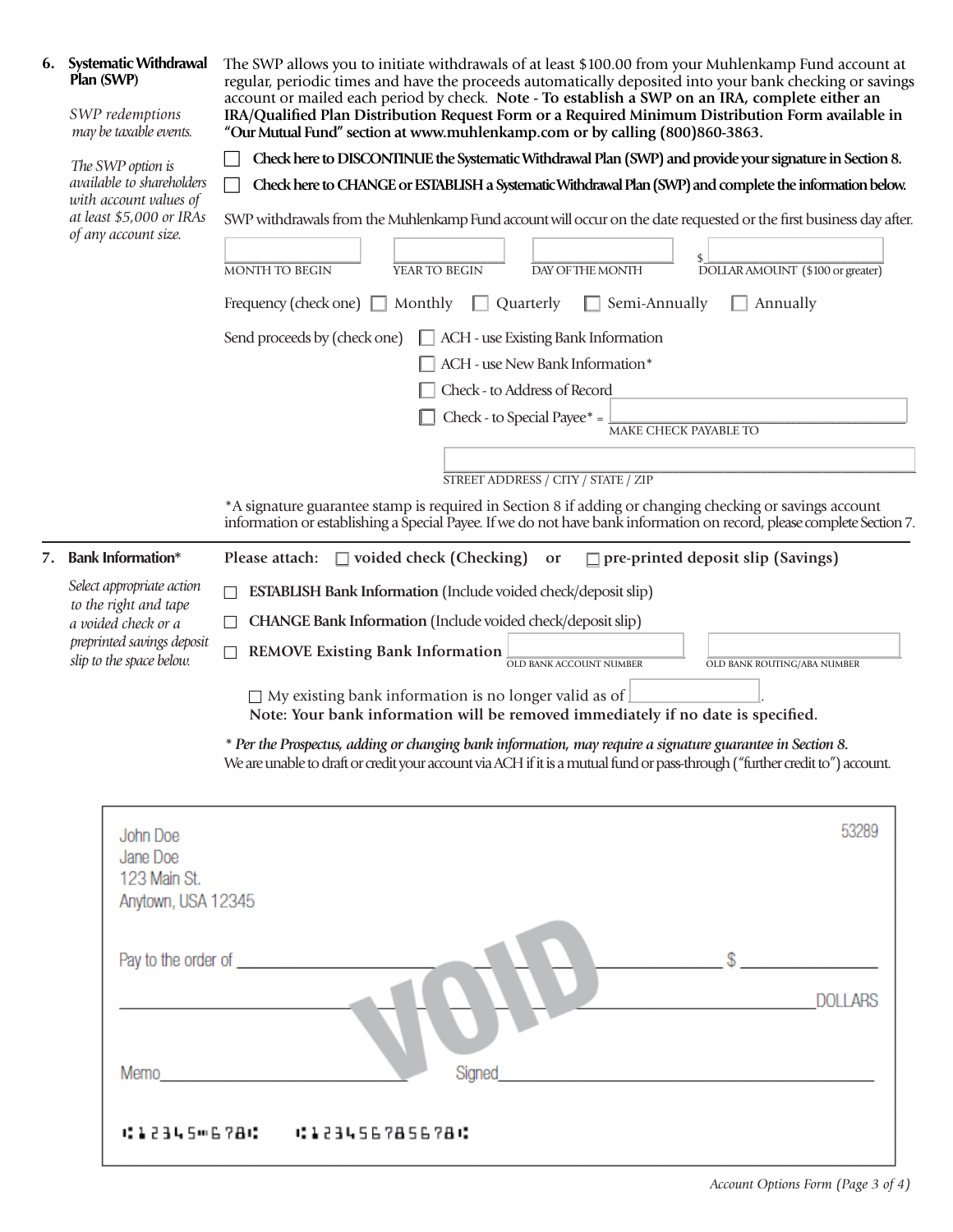| 6. | <b>Systematic Withdrawal</b><br>Plan (SWP)<br>SWP redemptions<br>may be taxable events.                                                                                                                                        | The SWP allows you to initiate withdrawals of at least \$100.00 from your Muhlenkamp Fund account at<br>regular, periodic times and have the proceeds automatically deposited into your bank checking or savings<br>account or mailed each period by check. Note - To establish a SWP on an IRA, complete either an<br>IRA/Qualified Plan Distribution Request Form or a Required Minimum Distribution Form available in<br>"Our Mutual Fund" section at www.muhlenkamp.com or by calling (800)860-3863. |  |
|----|--------------------------------------------------------------------------------------------------------------------------------------------------------------------------------------------------------------------------------|----------------------------------------------------------------------------------------------------------------------------------------------------------------------------------------------------------------------------------------------------------------------------------------------------------------------------------------------------------------------------------------------------------------------------------------------------------------------------------------------------------|--|
|    | The SWP option is<br>available to shareholders<br>with account values of<br>at least \$5,000 or IRAs<br>of any account size.                                                                                                   | Check here to DISCONITNUE the Systematic Withdrawal Plan (SWP) and provide your signature in Section 8.                                                                                                                                                                                                                                                                                                                                                                                                  |  |
|    |                                                                                                                                                                                                                                | Check here to CHANGE or ESTABLISH a Systematic Withdrawal Plan (SWP) and complete the information below.                                                                                                                                                                                                                                                                                                                                                                                                 |  |
|    |                                                                                                                                                                                                                                | SWP withdrawals from the Muhlenkamp Fund account will occur on the date requested or the first business day after.                                                                                                                                                                                                                                                                                                                                                                                       |  |
|    |                                                                                                                                                                                                                                | MONTH TO BEGIN<br>YEAR TO BEGIN<br>DAY OF THE MONTH<br>DOLLAR AMOUNT (\$100 or greater)                                                                                                                                                                                                                                                                                                                                                                                                                  |  |
|    |                                                                                                                                                                                                                                | Semi-Annually<br>Frequency (check one) $\Box$<br>Monthly<br>Quarterly<br>Annually                                                                                                                                                                                                                                                                                                                                                                                                                        |  |
|    |                                                                                                                                                                                                                                | $\Box$ ACH - use Existing Bank Information<br>Send proceeds by (check one)                                                                                                                                                                                                                                                                                                                                                                                                                               |  |
|    |                                                                                                                                                                                                                                | ACH - use New Bank Information*                                                                                                                                                                                                                                                                                                                                                                                                                                                                          |  |
|    |                                                                                                                                                                                                                                | Check - to Address of Record                                                                                                                                                                                                                                                                                                                                                                                                                                                                             |  |
|    |                                                                                                                                                                                                                                | Check - to Special Payee* =<br><b>MAKE CHECK PAYABLE TO</b>                                                                                                                                                                                                                                                                                                                                                                                                                                              |  |
|    |                                                                                                                                                                                                                                |                                                                                                                                                                                                                                                                                                                                                                                                                                                                                                          |  |
|    |                                                                                                                                                                                                                                | STREET ADDRESS / CITY / STATE / ZIP                                                                                                                                                                                                                                                                                                                                                                                                                                                                      |  |
|    |                                                                                                                                                                                                                                | *A signature guarantee stamp is required in Section 8 if adding or changing checking or savings account<br>information or establishing a Special Payee. If we do not have bank information on record, please complete Section 7.                                                                                                                                                                                                                                                                         |  |
| 7. | <b>Bank Information*</b><br>Please attach:<br>$\Box$ voided check (Checking)<br>$\Box$ pre-printed deposit slip (Savings)<br>or                                                                                                |                                                                                                                                                                                                                                                                                                                                                                                                                                                                                                          |  |
|    | Select appropriate action<br>to the right and tape<br>a voided check or a<br>preprinted savings deposit<br>slip to the space below.                                                                                            | <b>ESTABLISH Bank Information (Include voided check/deposit slip)</b>                                                                                                                                                                                                                                                                                                                                                                                                                                    |  |
|    |                                                                                                                                                                                                                                | CHANGE Bank Information (Include voided check/deposit slip)<br>$\vert \ \ \vert$                                                                                                                                                                                                                                                                                                                                                                                                                         |  |
|    |                                                                                                                                                                                                                                | <b>REMOVE Existing Bank Information</b><br>П<br>OLD BANK ACCOUNT NUMBER<br>OLD BANK ROUTING/ABA NUMBER                                                                                                                                                                                                                                                                                                                                                                                                   |  |
|    |                                                                                                                                                                                                                                | $\Box$ My existing bank information is no longer valid as of                                                                                                                                                                                                                                                                                                                                                                                                                                             |  |
|    |                                                                                                                                                                                                                                | Note: Your bank information will be removed immediately if no date is specified.                                                                                                                                                                                                                                                                                                                                                                                                                         |  |
|    |                                                                                                                                                                                                                                | * Per the Prospectus, adding or changing bank information, may require a signature guarantee in Section 8.<br>We are unable to draft or credit your account via ACH if it is a mutual fund or pass-through ("further credit to") account.                                                                                                                                                                                                                                                                |  |
|    | John Doe<br>Jane Doe<br>123 Main St.<br>Anytown, USA 12345                                                                                                                                                                     | 53289                                                                                                                                                                                                                                                                                                                                                                                                                                                                                                    |  |
|    |                                                                                                                                                                                                                                | Pay to the order of the state of the state of the state of the state of the state of the state of the state of<br><b>DOLLARS</b>                                                                                                                                                                                                                                                                                                                                                                         |  |
|    | Memo and the state of the state of the state of the state of the state of the state of the state of the state of the state of the state of the state of the state of the state of the state of the state of the state of the s | Signed                                                                                                                                                                                                                                                                                                                                                                                                                                                                                                   |  |
|    |                                                                                                                                                                                                                                | 012345-6780 01234567856780                                                                                                                                                                                                                                                                                                                                                                                                                                                                               |  |